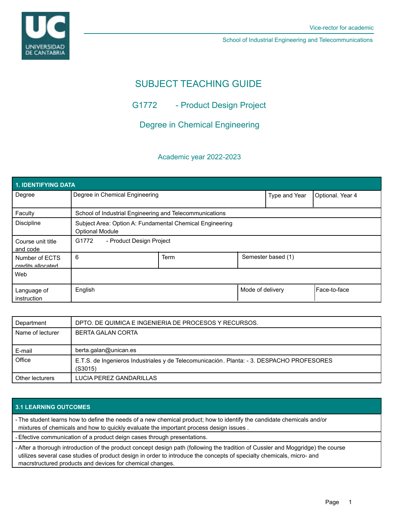**UNIVERSIDAD DE CANTABRIA** 

School of Industrial Engineering and Telecommunications

# SUBJECT TEACHING GUIDE

## G1772 - Product Design Project

## Degree in Chemical Engineering

### Academic year 2022-2023

| 1. IDENTIFYING DATA                 |                                                                                    |             |                  |                    |                  |  |  |  |
|-------------------------------------|------------------------------------------------------------------------------------|-------------|------------------|--------------------|------------------|--|--|--|
| Degree                              | Degree in Chemical Engineering                                                     |             |                  | Type and Year      | Optional. Year 4 |  |  |  |
| Faculty                             | School of Industrial Engineering and Telecommunications                            |             |                  |                    |                  |  |  |  |
| <b>Discipline</b>                   | Subject Area: Option A: Fundamental Chemical Engineering<br><b>Optional Module</b> |             |                  |                    |                  |  |  |  |
| Course unit title<br>and code       | G1772<br>- Product Design Project                                                  |             |                  |                    |                  |  |  |  |
| Number of ECTS<br>credits allocated | 6                                                                                  | <b>Term</b> |                  | Semester based (1) |                  |  |  |  |
| Web                                 |                                                                                    |             |                  |                    |                  |  |  |  |
| Language of<br>instruction          | English                                                                            |             | Mode of delivery |                    | l Face-to-face   |  |  |  |

| Department       | DPTO. DE QUIMICA E INGENIERIA DE PROCESOS Y RECURSOS.                                                |  |  |
|------------------|------------------------------------------------------------------------------------------------------|--|--|
| Name of lecturer | BERTA GALAN CORTA                                                                                    |  |  |
|                  |                                                                                                      |  |  |
| E-mail           | berta.galan@unican.es                                                                                |  |  |
| Office           | E.T.S. de Ingenieros Industriales y de Telecomunicación. Planta: - 3. DESPACHO PROFESORES<br>(S3015) |  |  |
| Other lecturers  | LUCIA PEREZ GANDARILLAS                                                                              |  |  |

## **3.1 LEARNING OUTCOMES**

- The student learns how to define the needs of a new chemical product; how to identify the candidate chemicals and/or mixtures of chemicals and how to quickly evaluate the important process design issues .

- Efective communication of a product deign cases through presentations.

- After a thorough introduction of the product concept design path (following the tradition of Cussler and Moggridge) the course utilizes several case studies of product design in order to introduce the concepts of specialty chemicals, micro- and macrstructured products and devices for chemical changes.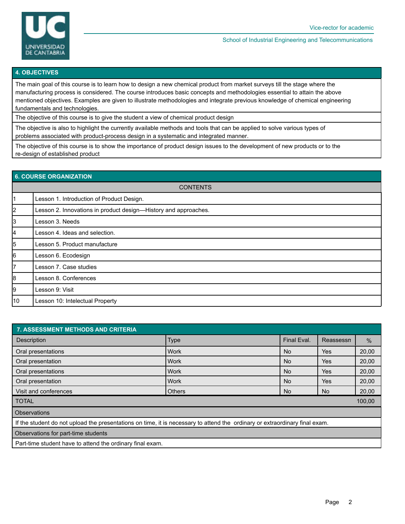

#### School of Industrial Engineering and Telecommunications

#### **4. OBJECTIVES**

The main goal of this course is to learn how to design a new chemical product from market surveys till the stage where the manufacturing process is considered. The course introduces basic concepts and methodologies essential to attain the above mentioned objectives. Examples are given to illustrate methodologies and integrate previous knowledge of chemical engineering fundamentals and technologies.

The objective of this course is to give the student a view of chemical product design

The objective is also to highlight the currently available methods and tools that can be applied to solve various types of problems associated with product-process design in a systematic and integrated manner.

The objective of this course is to show the importance of product design issues to the development of new products or to the re-design of established product

# **6. COURSE ORGANIZATION CONTENTS** Lesson 1. Introduction of Product Design. 2 | Lesson 2. Innovations in product design-History and approaches. 3 Lesson 3. Needs Lesson 4. Ideas and selection. Lesson 5. Product manufacture 6 Lesson 6. Ecodesign Lesson 7. Case studies 8 Lesson 8. Conferences 9 Lesson 9: Visit 10 Lesson 10: Intelectual Property

| 7. ASSESSMENT METHODS AND CRITERIA                                                                                          |           |             |       |  |  |  |  |  |
|-----------------------------------------------------------------------------------------------------------------------------|-----------|-------------|-------|--|--|--|--|--|
| <b>Type</b><br><b>Description</b>                                                                                           |           | Reassessn   | $\%$  |  |  |  |  |  |
| <b>Work</b>                                                                                                                 | <b>No</b> | Yes         | 20,00 |  |  |  |  |  |
| <b>Work</b>                                                                                                                 | <b>No</b> | Yes.        | 20,00 |  |  |  |  |  |
| <b>Work</b>                                                                                                                 | <b>No</b> | Yes         | 20,00 |  |  |  |  |  |
| Work                                                                                                                        | <b>No</b> | Yes         | 20,00 |  |  |  |  |  |
| <b>Others</b>                                                                                                               | No        | No.         | 20,00 |  |  |  |  |  |
| <b>TOTAL</b><br>100,00                                                                                                      |           |             |       |  |  |  |  |  |
| <b>Observations</b>                                                                                                         |           |             |       |  |  |  |  |  |
| If the student do not upload the presentations on time, it is necessary to attend the ordinary or extraordinary final exam. |           |             |       |  |  |  |  |  |
| Observations for part-time students                                                                                         |           |             |       |  |  |  |  |  |
| Part-time student have to attend the ordinary final exam.                                                                   |           |             |       |  |  |  |  |  |
|                                                                                                                             |           | Final Eval. |       |  |  |  |  |  |